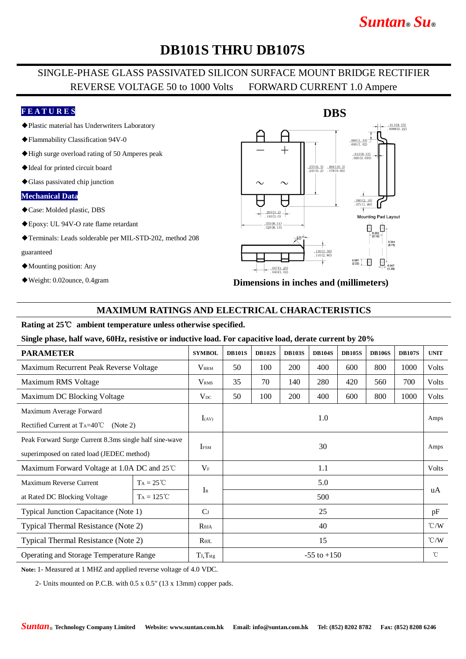# *Suntan***®** *Su***®**

# **DB101S THRU DB107S**

### SINGLE-PHASE GLASS PASSIVATED SILICON SURFACE MOUNT BRIDGE RECTIFIER REVERSE VOLTAGE 50 to 1000 Volts FORWARD CURRENT 1.0 Ampere

#### **F E A T U R E S**

- ◆Plastic material has Underwriters Laboratory
- ◆Flammability Classification 94V-0
- ◆High surge overload rating of 50 Amperes peak
- ◆Ideal for printed circuit board
- ◆Glass passivated chip junction

#### **Mechanical Data**

- ◆Case: Molded plastic, DBS
- ◆Epoxy: UL 94V-O rate flame retardant
- ◆Terminals: Leads solderable per MIL-STD-202, method 208

guaranteed

- ◆Mounting position: Any
- ◆Weight: 0.02ounce, 0.4gram



**Dimensions in inches and (millimeters)**

#### **MAXIMUM RATINGS AND ELECTRICAL CHARACTERISTICS**

#### **Rating at 25**℃ **ambient temperature unless otherwise specified.**

#### **Single phase, half wave, 60Hz, resistive or inductive load. For capacitive load, derate current by 20%**

| <b>PARAMETER</b>                                       |                     | <b>SYMBOL</b>           | <b>DB101S</b>   | <b>DB102S</b> | <b>DB103S</b> | <b>DB104S</b> | <b>DB105S</b> | <b>DB106S</b> | <b>DB107S</b> | <b>UNIT</b>     |
|--------------------------------------------------------|---------------------|-------------------------|-----------------|---------------|---------------|---------------|---------------|---------------|---------------|-----------------|
| Maximum Recurrent Peak Reverse Voltage                 |                     | <b>V</b> <sub>RRM</sub> | 50              | 100           | <b>200</b>    | 400           | 600           | 800           | 1000          | <b>Volts</b>    |
| Maximum RMS Voltage                                    |                     | <b>V</b> <sub>RMS</sub> | 35              | 70            | 140           | 280           | 420           | 560           | 700           | Volts           |
| Maximum DC Blocking Voltage                            |                     | $V_{DC}$                | 50              | 100           | <b>200</b>    | 400           | 600           | 800           | 1000          | <b>Volts</b>    |
| Maximum Average Forward                                |                     | $I_{(AV)}$              | 1.0             |               |               |               |               |               |               | Amps            |
| Rectified Current at $Ta=40^{\circ}C$<br>(Note 2)      |                     |                         |                 |               |               |               |               |               |               |                 |
| Peak Forward Surge Current 8.3ms single half sine-wave |                     | <b>I</b> <sub>ESM</sub> | 30              |               |               |               |               |               |               | Amps            |
| superimposed on rated load (JEDEC method)              |                     |                         |                 |               |               |               |               |               |               |                 |
| Maximum Forward Voltage at 1.0A DC and 25°C            |                     | $V_{\rm F}$             | 1.1             |               |               |               |               |               |               | <b>Volts</b>    |
| Maximum Reverse Current                                | $Ta = 25^{\circ}C$  |                         | 5.0             |               |               |               |               |               |               | uA              |
| at Rated DC Blocking Voltage                           | $TA = 125^{\circ}C$ | $I_{R}$                 | 500             |               |               |               |               |               |               |                 |
| Typical Junction Capacitance (Note 1)                  |                     | C <sub>J</sub>          | 25              |               |               |               |               |               |               | pF              |
| Typical Thermal Resistance (Note 2)                    |                     | $R_{\theta JA}$         | 40              |               |               |               |               |               |               | $\degree$ C/W   |
| Typical Thermal Resistance (Note 2)                    |                     | $R_{\theta IL}$         | 15              |               |               |               |               |               |               | $\degree$ C/W   |
| Operating and Storage Temperature Range                |                     | $T_J, T_{stg}$          | $-55$ to $+150$ |               |               |               |               |               |               | $\rm ^{\circ}C$ |

**Note:** 1- Measured at 1 MHZ and applied reverse voltage of 4.0 VDC.

2- Units mounted on P.C.B. with 0.5 x 0.5" (13 x 13mm) copper pads.